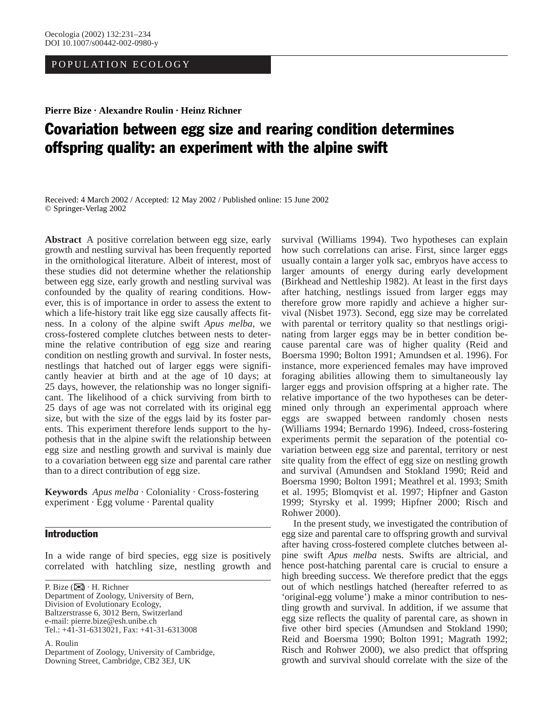# POPULATION ECOLOGY

**Pierre Bize · Alexandre Roulin · Heinz Richner**

# Covariation between egg size and rearing condition determines offspring quality: an experiment with the alpine swift

Received: 4 March 2002 / Accepted: 12 May 2002 / Published online: 15 June 2002 © Springer-Verlag 2002

**Abstract** A positive correlation between egg size, early growth and nestling survival has been frequently reported in the ornithological literature. Albeit of interest, most of these studies did not determine whether the relationship between egg size, early growth and nestling survival was confounded by the quality of rearing conditions. However, this is of importance in order to assess the extent to which a life-history trait like egg size causally affects fitness. In a colony of the alpine swift *Apus melba*, we cross-fostered complete clutches between nests to determine the relative contribution of egg size and rearing condition on nestling growth and survival. In foster nests, nestlings that hatched out of larger eggs were significantly heavier at birth and at the age of 10 days; at 25 days, however, the relationship was no longer significant. The likelihood of a chick surviving from birth to 25 days of age was not correlated with its original egg size, but with the size of the eggs laid by its foster parents. This experiment therefore lends support to the hypothesis that in the alpine swift the relationship between egg size and nestling growth and survival is mainly due to a covariation between egg size and parental care rather than to a direct contribution of egg size.

**Keywords** *Apus melba* · Coloniality · Cross-fostering experiment · Egg volume · Parental quality

# Introduction

In a wide range of bird species, egg size is positively correlated with hatchling size, nestling growth and

P. Bize (✉) · H. Richner Department of Zoology, University of Bern, Division of Evolutionary Ecology, Baltzerstrasse 6, 3012 Bern, Switzerland e-mail: pierre.bize@esh.unibe.ch Tel.: +41-31-6313021, Fax: +41-31-6313008

A. Roulin Department of Zoology, University of Cambridge, Downing Street, Cambridge, CB2 3EJ, UK

survival (Williams 1994). Two hypotheses can explain how such correlations can arise. First, since larger eggs usually contain a larger yolk sac, embryos have access to larger amounts of energy during early development (Birkhead and Nettleship 1982). At least in the first days after hatching, nestlings issued from larger eggs may therefore grow more rapidly and achieve a higher survival (Nisbet 1973). Second, egg size may be correlated with parental or territory quality so that nestlings originating from larger eggs may be in better condition because parental care was of higher quality (Reid and Boersma 1990; Bolton 1991; Amundsen et al. 1996). For instance, more experienced females may have improved foraging abilities allowing them to simultaneously lay larger eggs and provision offspring at a higher rate. The relative importance of the two hypotheses can be determined only through an experimental approach where eggs are swapped between randomly chosen nests (Williams 1994; Bernardo 1996). Indeed, cross-fostering experiments permit the separation of the potential covariation between egg size and parental, territory or nest site quality from the effect of egg size on nestling growth and survival (Amundsen and Stokland 1990; Reid and Boersma 1990; Bolton 1991; Meathrel et al. 1993; Smith et al. 1995; Blomqvist et al. 1997; Hipfner and Gaston 1999; Styrsky et al. 1999; Hipfner 2000; Risch and Rohwer 2000).

In the present study, we investigated the contribution of egg size and parental care to offspring growth and survival after having cross-fostered complete clutches between alpine swift *Apus melba* nests. Swifts are altricial, and hence post-hatching parental care is crucial to ensure a high breeding success. We therefore predict that the eggs out of which nestlings hatched (hereafter referred to as 'original-egg volume') make a minor contribution to nestling growth and survival. In addition, if we assume that egg size reflects the quality of parental care, as shown in five other bird species (Amundsen and Stokland 1990; Reid and Boersma 1990; Bolton 1991; Magrath 1992; Risch and Rohwer 2000), we also predict that offspring growth and survival should correlate with the size of the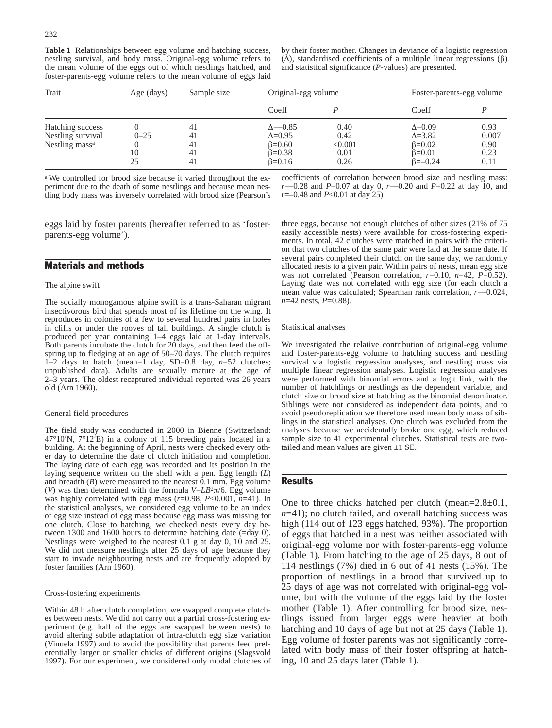**Table 1** Relationships between egg volume and hatching success, nestling survival, and body mass. Original-egg volume refers to the mean volume of the eggs out of which nestlings hatched, and foster-parents-egg volume refers to the mean volume of eggs laid by their foster mother. Changes in deviance of a logistic regression (∆), standardised coefficients of a multiple linear regressions (β) and statistical significance (*P*-values) are presented.

| Trait                                                               | Age (days)           | Sample size                | Original-egg volume                                                                 |                                         | Foster-parents-egg volume                                                               |                                       |
|---------------------------------------------------------------------|----------------------|----------------------------|-------------------------------------------------------------------------------------|-----------------------------------------|-----------------------------------------------------------------------------------------|---------------------------------------|
|                                                                     |                      |                            | Coeff                                                                               |                                         | Coeff                                                                                   |                                       |
| Hatching success<br>Nestling survival<br>Nestling mass <sup>a</sup> | $0 - 25$<br>10<br>25 | 41<br>41<br>41<br>41<br>41 | $\Delta = -0.85$<br>$\Delta = 0.95$<br>$\beta = 0.60$<br>$6=0.38$<br>$\beta = 0.16$ | 0.40<br>0.42<br>< 0.001<br>0.01<br>0.26 | $\Delta = 0.09$<br>$\Delta = 3.82$<br>$\beta = 0.02$<br>$\beta=0.01$<br>$\beta = -0.24$ | 0.93<br>0.007<br>0.90<br>0.23<br>0.11 |

<sup>a</sup> We controlled for brood size because it varied throughout the experiment due to the death of some nestlings and because mean nestling body mass was inversely correlated with brood size (Pearson's coefficients of correlation between brood size and nestling mass: *r*=–0.28 and *P*=0.07 at day 0, *r*=–0.20 and *P*=0.22 at day 10, and *r*=–0.48 and *P*<0.01 at day 25)

eggs laid by foster parents (hereafter referred to as 'fosterparents-egg volume').

### Materials and methods

#### The alpine swift

The socially monogamous alpine swift is a trans-Saharan migrant insectivorous bird that spends most of its lifetime on the wing. It reproduces in colonies of a few to several hundred pairs in holes in cliffs or under the rooves of tall buildings. A single clutch is produced per year containing 1–4 eggs laid at 1-day intervals. Both parents incubate the clutch for 20 days, and then feed the offspring up to fledging at an age of 50–70 days. The clutch requires 1–2 days to hatch (mean=1 day, SD=0.8 day, *n*=52 clutches; unpublished data). Adults are sexually mature at the age of 2–3 years. The oldest recaptured individual reported was 26 years old (Arn 1960).

#### General field procedures

The field study was conducted in 2000 in Bienne (Switzerland: 47°10′N, 7°12′E) in a colony of 115 breeding pairs located in a building. At the beginning of April, nests were checked every other day to determine the date of clutch initiation and completion. The laying date of each egg was recorded and its position in the laying sequence written on the shell with a pen. Egg length (*L*) and breadth (*B*) were measured to the nearest 0.1 mm. Egg volume (*V*) was then determined with the formula  $V = LB^2\pi/6$ . Egg volume was highly correlated with egg mass (*r*=0.98, *P*<0.001, *n*=41). In the statistical analyses, we considered egg volume to be an index of egg size instead of egg mass because egg mass was missing for one clutch. Close to hatching, we checked nests every day between 1300 and 1600 hours to determine hatching date (=day 0). Nestlings were weighed to the nearest 0.1 g at day 0, 10 and 25. We did not measure nestlings after 25 days of age because they start to invade neighbouring nests and are frequently adopted by foster families (Arn 1960).

#### Cross-fostering experiments

Within 48 h after clutch completion, we swapped complete clutches between nests. We did not carry out a partial cross-fostering experiment (e.g. half of the eggs are swapped between nests) to avoid altering subtle adaptation of intra-clutch egg size variation (Vinuela 1997) and to avoid the possibility that parents feed preferentially larger or smaller chicks of different origins (Slagsvold 1997). For our experiment, we considered only modal clutches of three eggs, because not enough clutches of other sizes (21% of 75 easily accessible nests) were available for cross-fostering experiments. In total, 42 clutches were matched in pairs with the criterion that two clutches of the same pair were laid at the same date. If several pairs completed their clutch on the same day, we randomly allocated nests to a given pair. Within pairs of nests, mean egg size was not correlated (Pearson correlation, *r*=0.10, *n*=42, *P*=0.52). Laying date was not correlated with egg size (for each clutch a mean value was calculated; Spearman rank correlation, *r*=–0.024, *n*=42 nests, *P*=0.88).

#### Statistical analyses

We investigated the relative contribution of original-egg volume and foster-parents-egg volume to hatching success and nestling survival via logistic regression analyses, and nestling mass via multiple linear regression analyses. Logistic regression analyses were performed with binomial errors and a logit link, with the number of hatchlings or nestlings as the dependent variable, and clutch size or brood size at hatching as the binomial denominator. Siblings were not considered as independent data points, and to avoid pseudoreplication we therefore used mean body mass of siblings in the statistical analyses. One clutch was excluded from the analyses because we accidentally broke one egg, which reduced sample size to 41 experimental clutches. Statistical tests are twotailed and mean values are given  $\pm 1$  SE.

# **Results**

One to three chicks hatched per clutch (mean=2.8±0.1, *n*=41); no clutch failed, and overall hatching success was high (114 out of 123 eggs hatched, 93%). The proportion of eggs that hatched in a nest was neither associated with original-egg volume nor with foster-parents-egg volume (Table 1). From hatching to the age of 25 days, 8 out of 114 nestlings (7%) died in 6 out of 41 nests (15%). The proportion of nestlings in a brood that survived up to 25 days of age was not correlated with original-egg volume, but with the volume of the eggs laid by the foster mother (Table 1). After controlling for brood size, nestlings issued from larger eggs were heavier at both hatching and 10 days of age but not at 25 days (Table 1). Egg volume of foster parents was not significantly correlated with body mass of their foster offspring at hatching, 10 and 25 days later (Table 1).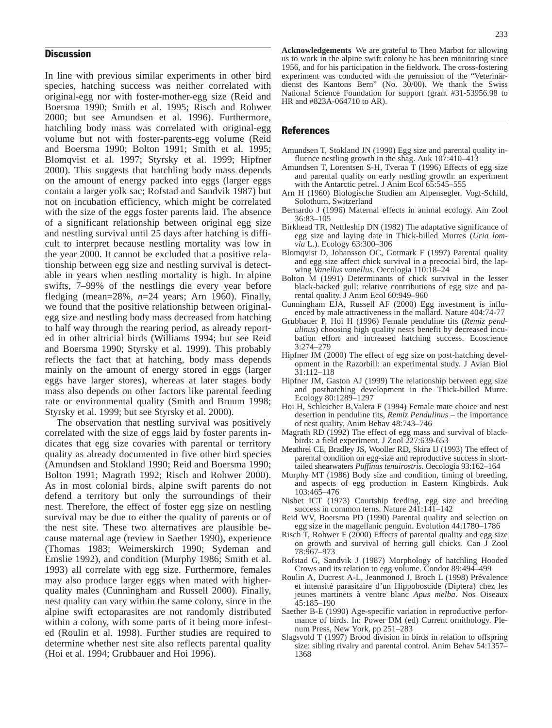# **Discussion**

In line with previous similar experiments in other bird species, hatching success was neither correlated with original-egg nor with foster-mother-egg size (Reid and Boersma 1990; Smith et al. 1995; Risch and Rohwer 2000; but see Amundsen et al. 1996). Furthermore, hatchling body mass was correlated with original-egg volume but not with foster-parents-egg volume (Reid and Boersma 1990; Bolton 1991; Smith et al. 1995; Blomqvist et al. 1997; Styrsky et al. 1999; Hipfner 2000). This suggests that hatchling body mass depends on the amount of energy packed into eggs (larger eggs contain a larger yolk sac; Rofstad and Sandvik 1987) but not on incubation efficiency, which might be correlated with the size of the eggs foster parents laid. The absence of a significant relationship between original egg size and nestling survival until 25 days after hatching is difficult to interpret because nestling mortality was low in the year 2000. It cannot be excluded that a positive relationship between egg size and nestling survival is detectable in years when nestling mortality is high. In alpine swifts, 7–99% of the nestlings die every year before fledging (mean=28%, *n*=24 years; Arn 1960). Finally, we found that the positive relationship between originalegg size and nestling body mass decreased from hatching to half way through the rearing period, as already reported in other altricial birds (Williams 1994; but see Reid and Boersma 1990; Styrsky et al. 1999). This probably reflects the fact that at hatching, body mass depends mainly on the amount of energy stored in eggs (larger eggs have larger stores), whereas at later stages body mass also depends on other factors like parental feeding rate or environmental quality (Smith and Bruum 1998; Styrsky et al. 1999; but see Styrsky et al. 2000).

The observation that nestling survival was positively correlated with the size of eggs laid by foster parents indicates that egg size covaries with parental or territory quality as already documented in five other bird species (Amundsen and Stokland 1990; Reid and Boersma 1990; Bolton 1991; Magrath 1992; Risch and Rohwer 2000). As in most colonial birds, alpine swift parents do not defend a territory but only the surroundings of their nest. Therefore, the effect of foster egg size on nestling survival may be due to either the quality of parents or of the nest site. These two alternatives are plausible because maternal age (review in Saether 1990), experience (Thomas 1983; Weimerskirch 1990; Sydeman and Emslie 1992), and condition (Murphy 1986; Smith et al. 1993) all correlate with egg size. Furthermore, females may also produce larger eggs when mated with higherquality males (Cunningham and Russell 2000). Finally, nest quality can vary within the same colony, since in the alpine swift ectoparasites are not randomly distributed within a colony, with some parts of it being more infested (Roulin et al. 1998). Further studies are required to determine whether nest site also reflects parental quality (Hoi et al. 1994; Grubbauer and Hoi 1996).

**Acknowledgements** We are grateful to Theo Marbot for allowing us to work in the alpine swift colony he has been monitoring since 1956, and for his participation in the fieldwork. The cross-fostering experiment was conducted with the permission of the "Veterinärdienst des Kantons Bern" (No. 30/00). We thank the Swiss National Science Foundation for support (grant #31-53956.98 to HR and #823A-064710 to AR).

#### References

- Amundsen T, Stokland JN (1990) Egg size and parental quality influence nestling growth in the shag. Auk 107:410–413
- Amundsen T, Lorentsen S-H, Tveraa T (1996) Effects of egg size and parental quality on early nestling growth: an experiment with the Antarctic petrel. J Anim Ecol 65:545–555
- Arn H (1960) Biologische Studien am Alpensegler. Vogt-Schild, Solothurn, Switzerland
- Bernardo J (1996) Maternal effects in animal ecology. Am Zool 36:83–105
- Birkhead TR, Nettleship DN (1982) The adaptative significance of egg size and laying date in Thick-billed Murres (*Uria lomvia* L.). Ecology 63:300–306
- Blomqvist D, Johansson OC, Gotmark F (1997) Parental quality and egg size affect chick survival in a precocial bird, the lapwing *Vanellus vanellus*. Oecologia 110:18–24
- Bolton M (1991) Determinants of chick survival in the lesser black-backed gull: relative contributions of egg size and parental quality. J Anim Ecol 60:949–960
- Cunningham EJA, Russell AF (2000) Egg investment is influenced by male attractiveness in the mallard. Nature 404:74-77
- Grubbauer P, Hoi H (1996) Female penduline tits (*Remiz pendulinus*) choosing high quality nests benefit by decreased incubation effort and increased hatching success. Ecoscience 3:274–279
- Hipfner JM (2000) The effect of egg size on post-hatching development in the Razorbill: an experimental study. J Avian Biol 31:112–118
- Hipfner JM, Gaston AJ (1999) The relationship between egg size and posthatching development in the Thick-billed Murre. Ecology 80:1289–1297
- Hoi H, Schleicher B,Valera F (1994) Female mate choice and nest desertion in penduline tits, *Remiz Pendulinus* – the importance of nest quality. Anim Behav 48:743–746
- Magrath RD (1992) The effect of egg mass and survival of blackbirds: a field experiment. J Zool 227:639-653
- Meathrel CE, Bradley JS, Wooller RD, Skira IJ (1993) The effect of parental condition on egg-size and reproductive success in shorttailed shearwaters *Puffinus tenuirostris*. Oecologia 93:162–164
- Murphy MT (1986) Body size and condition, timing of breeding, and aspects of egg production in Eastern Kingbirds. Auk 103:465–476
- Nisbet ICT (1973) Courtship feeding, egg size and breeding success in common terns. Nature  $241:141-142$
- Reid WV, Boersma PD (1990) Parental quality and selection on egg size in the magellanic penguin. Evolution 44:1780–1786
- Risch T, Rohwer F (2000) Effects of parental quality and egg size on growth and survival of herring gull chicks. Can J Zool 78:967–973
- Rofstad G, Sandvik J (1987) Morphology of hatchling Hooded Crows and its relation to egg volume. Condor 89:494–499
- Roulin A, Ducrest A-L, Jeanmonod J, Broch L (1998) Prévalence et intensité parasitaire d'un Hippoboscide (Diptera) chez les jeunes martinets à ventre blanc *Apus melba*. Nos Oiseaux 45:185–190
- Saether B-E (1990) Age-specific variation in reproductive performance of birds. In: Power DM (ed) Current ornithology. Plenum Press, New York, pp 251–283
- Slagsvold T (1997) Brood division in birds in relation to offspring size: sibling rivalry and parental control. Anim Behav 54:1357– 1368